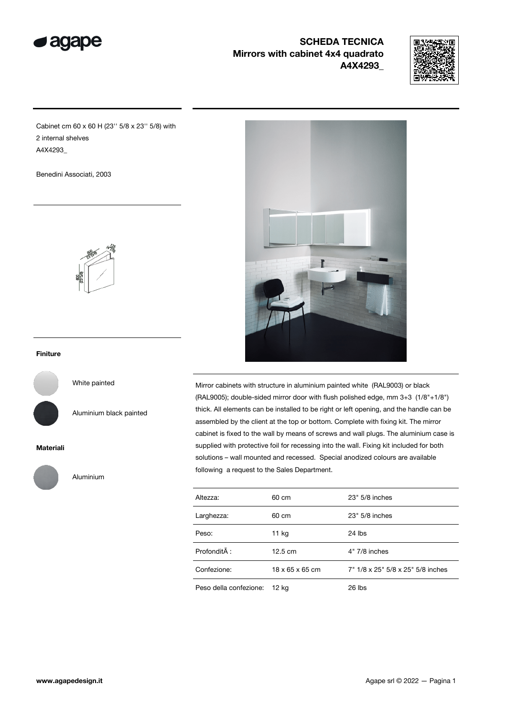

# SCHEDA TECNICA Mirrors with cabinet 4x4 quadrato A4X4293\_



Cabinet cm 60 x 60 H (23'' 5/8 x 23'' 5/8) with 2 internal shelves A4X4293\_

Benedini Associati, 2003



### Finiture

White painted

Aluminium black painted

#### Materiali



Aluminium



Mirror cabinets with structure in aluminium painted white (RAL9003) or black (RAL9005); double-sided mirror door with flush polished edge, mm 3+3 (1/8"+1/8") thick. All elements can be installed to be right or left opening, and the handle can be assembled by the client at the top or bottom. Complete with fixing kit. The mirror cabinet is fixed to the wall by means of screws and wall plugs. The aluminium case is supplied with protective foil for recessing into the wall. Fixing kit included for both solutions – wall mounted and recessed. Special anodized colours are available following a request to the Sales Department.

| Altezza:               | 60 cm             | 23" 5/8 inches                    |
|------------------------|-------------------|-----------------------------------|
| Larghezza:             | 60 cm             | 23" 5/8 inches                    |
| Peso:                  | 11 kg             | $24$ lbs                          |
| Profondità :           | $12.5 \text{ cm}$ | $4"$ 7/8 inches                   |
| Confezione:            | 18 x 65 x 65 cm   | 7" 1/8 x 25" 5/8 x 25" 5/8 inches |
| Peso della confezione: | 12 kg             | $26$ lbs                          |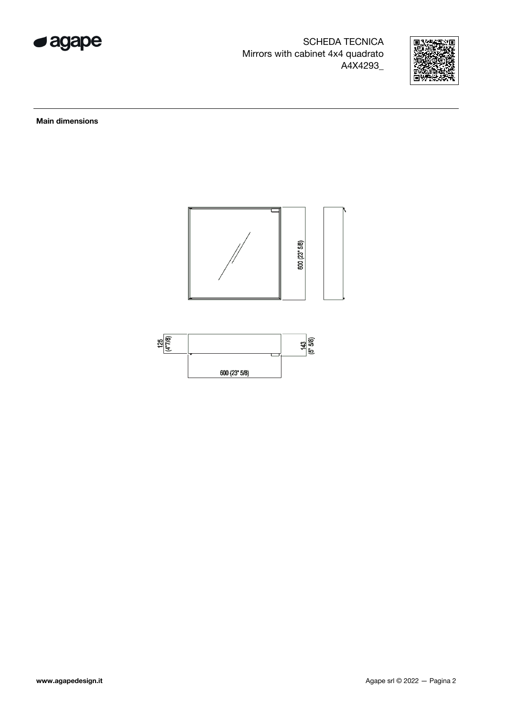

SCHEDA TECNICA Mirrors with cabinet 4x4 quadrato A4X4293\_



Main dimensions